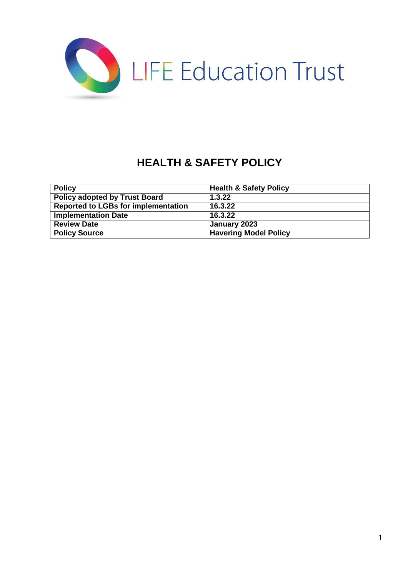

# **HEALTH & SAFETY POLICY**

| <b>Policy</b>                              | <b>Health &amp; Safety Policy</b> |
|--------------------------------------------|-----------------------------------|
| <b>Policy adopted by Trust Board</b>       | 1.3.22                            |
| <b>Reported to LGBs for implementation</b> | 16.3.22                           |
| <b>Implementation Date</b>                 | 16.3.22                           |
| <b>Review Date</b>                         | January 2023                      |
| <b>Policy Source</b>                       | <b>Havering Model Policy</b>      |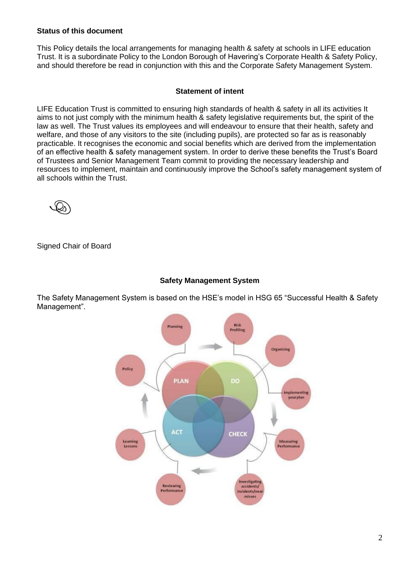## **Status of this document**

This Policy details the local arrangements for managing health & safety at schools in LIFE education Trust. It is a subordinate Policy to the London Borough of Havering's Corporate Health & Safety Policy, and should therefore be read in conjunction with this and the Corporate Safety Management System.

#### **Statement of intent**

LIFE Education Trust is committed to ensuring high standards of health & safety in all its activities It aims to not just comply with the minimum health & safety legislative requirements but, the spirit of the law as well. The Trust values its employees and will endeavour to ensure that their health, safety and welfare, and those of any visitors to the site (including pupils), are protected so far as is reasonably practicable. It recognises the economic and social benefits which are derived from the implementation of an effective health & safety management system. In order to derive these benefits the Trust's Board of Trustees and Senior Management Team commit to providing the necessary leadership and resources to implement, maintain and continuously improve the School's safety management system of all schools within the Trust.



Signed Chair of Board

## **Safety Management System**

The Safety Management System is based on the HSE's model in HSG 65 "Successful Health & Safety Management".

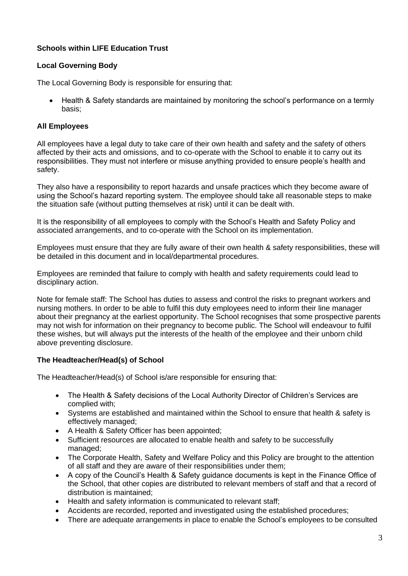# **Schools within LIFE Education Trust**

# **Local Governing Body**

The Local Governing Body is responsible for ensuring that:

• Health & Safety standards are maintained by monitoring the school's performance on a termly basis;

# **All Employees**

All employees have a legal duty to take care of their own health and safety and the safety of others affected by their acts and omissions, and to co-operate with the School to enable it to carry out its responsibilities. They must not interfere or misuse anything provided to ensure people's health and safety.

They also have a responsibility to report hazards and unsafe practices which they become aware of using the School's hazard reporting system. The employee should take all reasonable steps to make the situation safe (without putting themselves at risk) until it can be dealt with.

It is the responsibility of all employees to comply with the School's Health and Safety Policy and associated arrangements, and to co-operate with the School on its implementation.

Employees must ensure that they are fully aware of their own health & safety responsibilities, these will be detailed in this document and in local/departmental procedures.

Employees are reminded that failure to comply with health and safety requirements could lead to disciplinary action.

Note for female staff: The School has duties to assess and control the risks to pregnant workers and nursing mothers. In order to be able to fulfil this duty employees need to inform their line manager about their pregnancy at the earliest opportunity. The School recognises that some prospective parents may not wish for information on their pregnancy to become public. The School will endeavour to fulfil these wishes, but will always put the interests of the health of the employee and their unborn child above preventing disclosure.

# **The Headteacher/Head(s) of School**

The Headteacher/Head(s) of School is/are responsible for ensuring that:

- The Health & Safety decisions of the Local Authority Director of Children's Services are complied with;
- Systems are established and maintained within the School to ensure that health & safety is effectively managed;
- A Health & Safety Officer has been appointed;
- Sufficient resources are allocated to enable health and safety to be successfully managed;
- The Corporate Health, Safety and Welfare Policy and this Policy are brought to the attention of all staff and they are aware of their responsibilities under them;
- A copy of the Council's Health & Safety guidance documents is kept in the Finance Office of the School, that other copies are distributed to relevant members of staff and that a record of distribution is maintained;
- Health and safety information is communicated to relevant staff;
- Accidents are recorded, reported and investigated using the established procedures;
- There are adequate arrangements in place to enable the School's employees to be consulted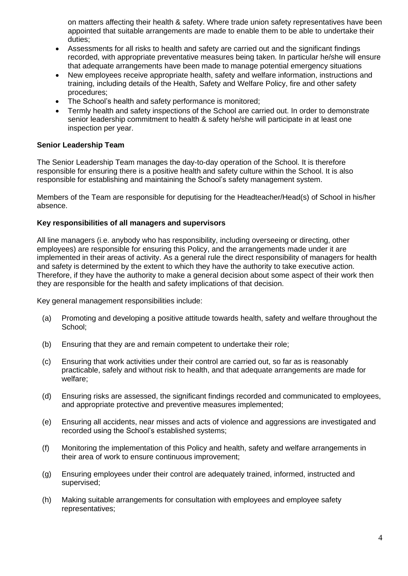on matters affecting their health & safety. Where trade union safety representatives have been appointed that suitable arrangements are made to enable them to be able to undertake their duties;

- Assessments for all risks to health and safety are carried out and the significant findings recorded, with appropriate preventative measures being taken. In particular he/she will ensure that adequate arrangements have been made to manage potential emergency situations
- New employees receive appropriate health, safety and welfare information, instructions and training, including details of the Health, Safety and Welfare Policy, fire and other safety procedures;
- The School's health and safety performance is monitored;
- Termly health and safety inspections of the School are carried out. In order to demonstrate senior leadership commitment to health & safety he/she will participate in at least one inspection per year.

## **Senior Leadership Team**

The Senior Leadership Team manages the day-to-day operation of the School. It is therefore responsible for ensuring there is a positive health and safety culture within the School. It is also responsible for establishing and maintaining the School's safety management system.

Members of the Team are responsible for deputising for the Headteacher/Head(s) of School in his/her absence.

## **Key responsibilities of all managers and supervisors**

All line managers (i.e. anybody who has responsibility, including overseeing or directing, other employees) are responsible for ensuring this Policy, and the arrangements made under it are implemented in their areas of activity. As a general rule the direct responsibility of managers for health and safety is determined by the extent to which they have the authority to take executive action. Therefore, if they have the authority to make a general decision about some aspect of their work then they are responsible for the health and safety implications of that decision.

Key general management responsibilities include:

- (a) Promoting and developing a positive attitude towards health, safety and welfare throughout the School;
- (b) Ensuring that they are and remain competent to undertake their role;
- (c) Ensuring that work activities under their control are carried out, so far as is reasonably practicable, safely and without risk to health, and that adequate arrangements are made for welfare;
- (d) Ensuring risks are assessed, the significant findings recorded and communicated to employees, and appropriate protective and preventive measures implemented;
- (e) Ensuring all accidents, near misses and acts of violence and aggressions are investigated and recorded using the School's established systems;
- (f) Monitoring the implementation of this Policy and health, safety and welfare arrangements in their area of work to ensure continuous improvement;
- (g) Ensuring employees under their control are adequately trained, informed, instructed and supervised;
- (h) Making suitable arrangements for consultation with employees and employee safety representatives;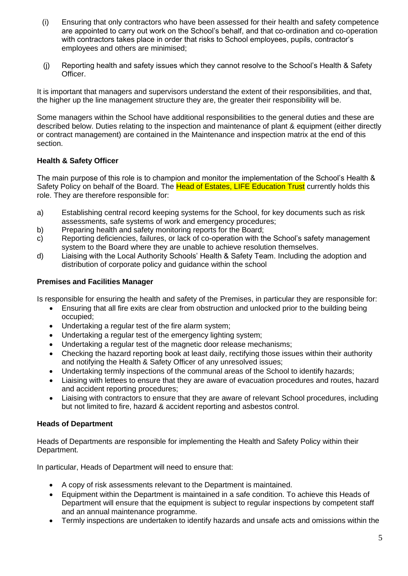- (i) Ensuring that only contractors who have been assessed for their health and safety competence are appointed to carry out work on the School's behalf, and that co-ordination and co-operation with contractors takes place in order that risks to School employees, pupils, contractor's employees and others are minimised;
- (j) Reporting health and safety issues which they cannot resolve to the School's Health & Safety Officer.

It is important that managers and supervisors understand the extent of their responsibilities, and that, the higher up the line management structure they are, the greater their responsibility will be.

Some managers within the School have additional responsibilities to the general duties and these are described below. Duties relating to the inspection and maintenance of plant & equipment (either directly or contract management) are contained in the Maintenance and inspection matrix at the end of this section.

# **Health & Safety Officer**

The main purpose of this role is to champion and monitor the implementation of the School's Health & Safety Policy on behalf of the Board. The Head of Estates, LIFE Education Trust currently holds this role. They are therefore responsible for:

- a) Establishing central record keeping systems for the School, for key documents such as risk assessments, safe systems of work and emergency procedures;
- b) Preparing health and safety monitoring reports for the Board;
- c) Reporting deficiencies, failures, or lack of co-operation with the School's safety management system to the Board where they are unable to achieve resolution themselves.
- d) Liaising with the Local Authority Schools' Health & Safety Team. Including the adoption and distribution of corporate policy and guidance within the school

## **Premises and Facilities Manager**

Is responsible for ensuring the health and safety of the Premises, in particular they are responsible for:

- Ensuring that all fire exits are clear from obstruction and unlocked prior to the building being occupied;
- Undertaking a regular test of the fire alarm system;
- Undertaking a regular test of the emergency lighting system;
- Undertaking a regular test of the magnetic door release mechanisms;
- Checking the hazard reporting book at least daily, rectifying those issues within their authority and notifying the Health & Safety Officer of any unresolved issues;
- Undertaking termly inspections of the communal areas of the School to identify hazards;
- Liaising with lettees to ensure that they are aware of evacuation procedures and routes, hazard and accident reporting procedures;
- Liaising with contractors to ensure that they are aware of relevant School procedures, including but not limited to fire, hazard & accident reporting and asbestos control.

## **Heads of Department**

Heads of Departments are responsible for implementing the Health and Safety Policy within their Department.

In particular, Heads of Department will need to ensure that:

- A copy of risk assessments relevant to the Department is maintained.
- Equipment within the Department is maintained in a safe condition. To achieve this Heads of Department will ensure that the equipment is subject to regular inspections by competent staff and an annual maintenance programme.
- Termly inspections are undertaken to identify hazards and unsafe acts and omissions within the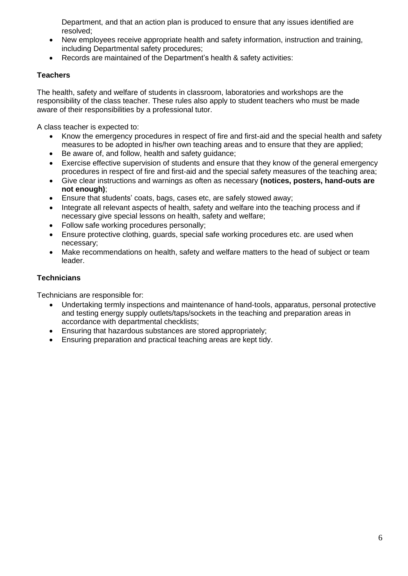Department, and that an action plan is produced to ensure that any issues identified are resolved;

- New employees receive appropriate health and safety information, instruction and training, including Departmental safety procedures;
- Records are maintained of the Department's health & safety activities:

# **Teachers**

The health, safety and welfare of students in classroom, laboratories and workshops are the responsibility of the class teacher. These rules also apply to student teachers who must be made aware of their responsibilities by a professional tutor.

A class teacher is expected to:

- Know the emergency procedures in respect of fire and first-aid and the special health and safety measures to be adopted in his/her own teaching areas and to ensure that they are applied;
- Be aware of, and follow, health and safety guidance;
- Exercise effective supervision of students and ensure that they know of the general emergency procedures in respect of fire and first-aid and the special safety measures of the teaching area;
- Give clear instructions and warnings as often as necessary **(notices, posters, hand-outs are not enough)**;
- Ensure that students' coats, bags, cases etc, are safely stowed away;
- Integrate all relevant aspects of health, safety and welfare into the teaching process and if necessary give special lessons on health, safety and welfare;
- Follow safe working procedures personally;
- Ensure protective clothing, guards, special safe working procedures etc. are used when necessary;
- Make recommendations on health, safety and welfare matters to the head of subject or team leader.

# **Technicians**

Technicians are responsible for:

- Undertaking termly inspections and maintenance of hand-tools, apparatus, personal protective and testing energy supply outlets/taps/sockets in the teaching and preparation areas in accordance with departmental checklists;
- Ensuring that hazardous substances are stored appropriately;
- Ensuring preparation and practical teaching areas are kept tidy.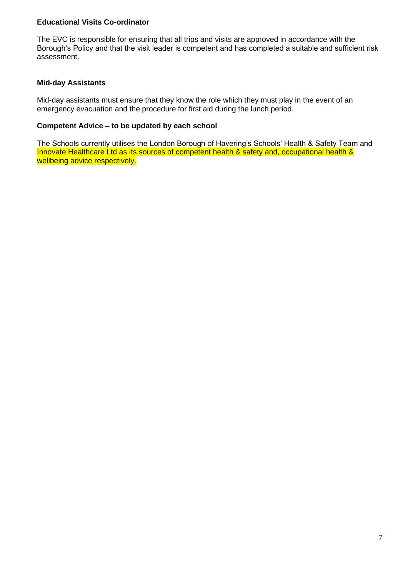## **Educational Visits Co-ordinator**

The EVC is responsible for ensuring that all trips and visits are approved in accordance with the Borough's Policy and that the visit leader is competent and has completed a suitable and sufficient risk assessment.

## **Mid-day Assistants**

Mid-day assistants must ensure that they know the role which they must play in the event of an emergency evacuation and the procedure for first aid during the lunch period.

## **Competent Advice – to be updated by each school**

The Schools currently utilises the London Borough of Havering's Schools' Health & Safety Team and Innovate Healthcare Ltd as its sources of competent health & safety and, occupational health & wellbeing advice respectively.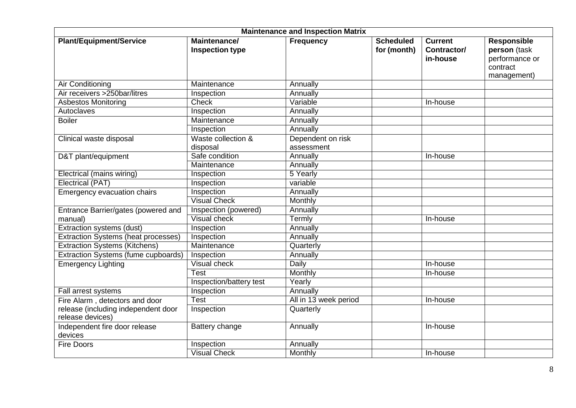| <b>Maintenance and Inspection Matrix</b>                |                                        |                                 |                                 |                                           |                                                                          |  |
|---------------------------------------------------------|----------------------------------------|---------------------------------|---------------------------------|-------------------------------------------|--------------------------------------------------------------------------|--|
| <b>Plant/Equipment/Service</b>                          | Maintenance/<br><b>Inspection type</b> | <b>Frequency</b>                | <b>Scheduled</b><br>for (month) | <b>Current</b><br>Contractor/<br>in-house | Responsible<br>person (task<br>performance or<br>contract<br>management) |  |
| <b>Air Conditioning</b>                                 | Maintenance                            | Annually                        |                                 |                                           |                                                                          |  |
| Air receivers >250bar/litres                            | Inspection                             | Annually                        |                                 |                                           |                                                                          |  |
| <b>Asbestos Monitoring</b>                              | <b>Check</b>                           | Variable                        |                                 | In-house                                  |                                                                          |  |
| Autoclaves                                              | Inspection                             | Annually                        |                                 |                                           |                                                                          |  |
| <b>Boiler</b>                                           | Maintenance                            | Annually                        |                                 |                                           |                                                                          |  |
|                                                         | Inspection                             | Annually                        |                                 |                                           |                                                                          |  |
| Clinical waste disposal                                 | Waste collection &<br>disposal         | Dependent on risk<br>assessment |                                 |                                           |                                                                          |  |
| D&T plant/equipment                                     | Safe condition                         | Annually                        |                                 | In-house                                  |                                                                          |  |
|                                                         | Maintenance                            | Annually                        |                                 |                                           |                                                                          |  |
| Electrical (mains wiring)                               | Inspection                             | 5 Yearly                        |                                 |                                           |                                                                          |  |
| <b>Electrical (PAT)</b>                                 | Inspection                             | variable                        |                                 |                                           |                                                                          |  |
| Emergency evacuation chairs                             | Inspection                             | Annually                        |                                 |                                           |                                                                          |  |
|                                                         | <b>Visual Check</b>                    | Monthly                         |                                 |                                           |                                                                          |  |
| Entrance Barrier/gates (powered and                     | Inspection (powered)                   | Annually                        |                                 |                                           |                                                                          |  |
| manual)                                                 | <b>Visual check</b>                    | Termly                          |                                 | In-house                                  |                                                                          |  |
| Extraction systems (dust)                               | Inspection                             | Annually                        |                                 |                                           |                                                                          |  |
| <b>Extraction Systems (heat processes)</b>              | Inspection                             | Annually                        |                                 |                                           |                                                                          |  |
| <b>Extraction Systems (Kitchens)</b>                    | Maintenance                            | Quarterly                       |                                 |                                           |                                                                          |  |
| Extraction Systems (fume cupboards)                     | Inspection                             | Annually                        |                                 |                                           |                                                                          |  |
| <b>Emergency Lighting</b>                               | <b>Visual check</b>                    | <b>Daily</b>                    |                                 | In-house                                  |                                                                          |  |
|                                                         | <b>Test</b>                            | Monthly                         |                                 | In-house                                  |                                                                          |  |
|                                                         | Inspection/battery test                | Yearly                          |                                 |                                           |                                                                          |  |
| Fall arrest systems                                     | Inspection                             | Annually                        |                                 |                                           |                                                                          |  |
| Fire Alarm, detectors and door                          | <b>Test</b>                            | All in 13 week period           |                                 | In-house                                  |                                                                          |  |
| release (including independent door<br>release devices) | Inspection                             | Quarterly                       |                                 |                                           |                                                                          |  |
| Independent fire door release<br>devices                | Battery change                         | Annually                        |                                 | In-house                                  |                                                                          |  |
| <b>Fire Doors</b>                                       | Inspection                             | Annually                        |                                 |                                           |                                                                          |  |
|                                                         | <b>Visual Check</b>                    | Monthly                         |                                 | In-house                                  |                                                                          |  |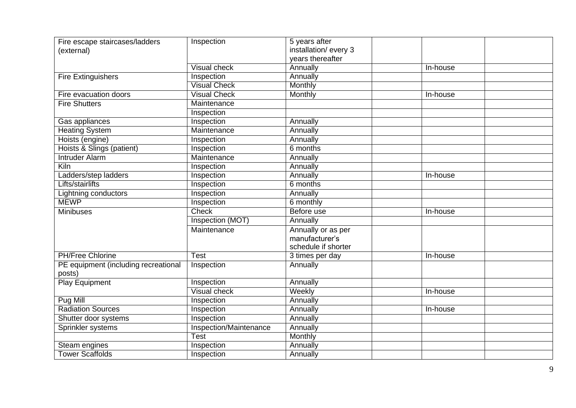| Fire escape staircases/ladders<br>(external)   | Inspection             | 5 years after<br>installation/every 3<br>years thereafter   |          |
|------------------------------------------------|------------------------|-------------------------------------------------------------|----------|
|                                                | <b>Visual check</b>    | Annually                                                    | In-house |
| <b>Fire Extinguishers</b>                      | Inspection             | Annually                                                    |          |
|                                                | <b>Visual Check</b>    | Monthly                                                     |          |
| Fire evacuation doors                          | <b>Visual Check</b>    | <b>Monthly</b>                                              | In-house |
| <b>Fire Shutters</b>                           | Maintenance            |                                                             |          |
|                                                | Inspection             |                                                             |          |
| Gas appliances                                 | Inspection             | Annually                                                    |          |
| <b>Heating System</b>                          | Maintenance            | Annually                                                    |          |
| Hoists (engine)                                | Inspection             | Annually                                                    |          |
| Hoists & Slings (patient)                      | Inspection             | 6 months                                                    |          |
| <b>Intruder Alarm</b>                          | Maintenance            | Annually                                                    |          |
| Kiln                                           | Inspection             | Annually                                                    |          |
| Ladders/step ladders                           | Inspection             | Annually                                                    | In-house |
| <b>Lifts/stairlifts</b>                        | Inspection             | 6 months                                                    |          |
| Lightning conductors                           | Inspection             | Annually                                                    |          |
| <b>MEWP</b>                                    | Inspection             | 6 monthly                                                   |          |
| <b>Minibuses</b>                               | <b>Check</b>           | Before use                                                  | In-house |
|                                                | Inspection (MOT)       | Annually                                                    |          |
|                                                | Maintenance            | Annually or as per<br>manufacturer's<br>schedule if shorter |          |
| <b>PH/Free Chlorine</b>                        | <b>Test</b>            | 3 times per day                                             | In-house |
| PE equipment (including recreational<br>posts) | Inspection             | Annually                                                    |          |
| <b>Play Equipment</b>                          | Inspection             | Annually                                                    |          |
|                                                | <b>Visual check</b>    | Weekly                                                      | In-house |
| Pug Mill                                       | Inspection             | Annually                                                    |          |
| <b>Radiation Sources</b>                       | Inspection             | Annually                                                    | In-house |
| Shutter door systems                           | Inspection             | Annually                                                    |          |
| Sprinkler systems                              | Inspection/Maintenance | Annually                                                    |          |
|                                                | Test                   | Monthly                                                     |          |
| Steam engines                                  | Inspection             | Annually                                                    |          |
| <b>Tower Scaffolds</b>                         | Inspection             | Annually                                                    |          |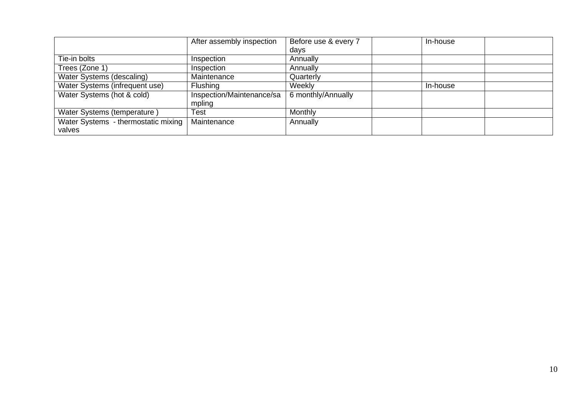|                                               | After assembly inspection           | Before use & every 7 | In-house |  |
|-----------------------------------------------|-------------------------------------|----------------------|----------|--|
|                                               |                                     | days                 |          |  |
| Tie-in bolts                                  | Inspection                          | Annually             |          |  |
| Trees (Zone 1)                                | Inspection                          | Annually             |          |  |
| Water Systems (descaling)                     | Maintenance                         | Quarterly            |          |  |
| Water Systems (infrequent use)                | Flushing                            | Weekly               | In-house |  |
| Water Systems (hot & cold)                    | Inspection/Maintenance/sa<br>mpling | 6 monthly/Annually   |          |  |
| Water Systems (temperature)                   | Test                                | Monthly              |          |  |
| Water Systems - thermostatic mixing<br>valves | Maintenance                         | Annually             |          |  |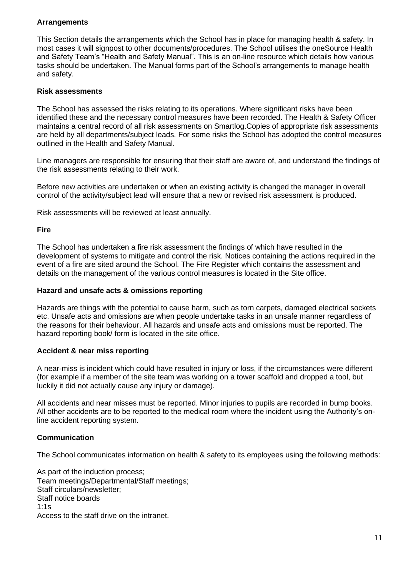## **Arrangements**

This Section details the arrangements which the School has in place for managing health & safety. In most cases it will signpost to other documents/procedures. The School utilises the oneSource Health and Safety Team's "Health and Safety Manual". This is an on-line resource which details how various tasks should be undertaken. The Manual forms part of the School's arrangements to manage health and safety.

## **Risk assessments**

The School has assessed the risks relating to its operations. Where significant risks have been identified these and the necessary control measures have been recorded. The Health & Safety Officer maintains a central record of all risk assessments on Smartlog.Copies of appropriate risk assessments are held by all departments/subject leads. For some risks the School has adopted the control measures outlined in the Health and Safety Manual.

Line managers are responsible for ensuring that their staff are aware of, and understand the findings of the risk assessments relating to their work.

Before new activities are undertaken or when an existing activity is changed the manager in overall control of the activity/subject lead will ensure that a new or revised risk assessment is produced.

Risk assessments will be reviewed at least annually.

## **Fire**

The School has undertaken a fire risk assessment the findings of which have resulted in the development of systems to mitigate and control the risk. Notices containing the actions required in the event of a fire are sited around the School. The Fire Register which contains the assessment and details on the management of the various control measures is located in the Site office.

#### **Hazard and unsafe acts & omissions reporting**

Hazards are things with the potential to cause harm, such as torn carpets, damaged electrical sockets etc. Unsafe acts and omissions are when people undertake tasks in an unsafe manner regardless of the reasons for their behaviour. All hazards and unsafe acts and omissions must be reported. The hazard reporting book/ form is located in the site office.

## **Accident & near miss reporting**

A near-miss is incident which could have resulted in injury or loss, if the circumstances were different (for example if a member of the site team was working on a tower scaffold and dropped a tool, but luckily it did not actually cause any injury or damage).

All accidents and near misses must be reported. Minor injuries to pupils are recorded in bump books. All other accidents are to be reported to the medical room where the incident using the Authority's online accident reporting system.

## **Communication**

The School communicates information on health & safety to its employees using the following methods:

As part of the induction process; Team meetings/Departmental/Staff meetings; Staff circulars/newsletter; Staff notice boards  $1:1s$ Access to the staff drive on the intranet.